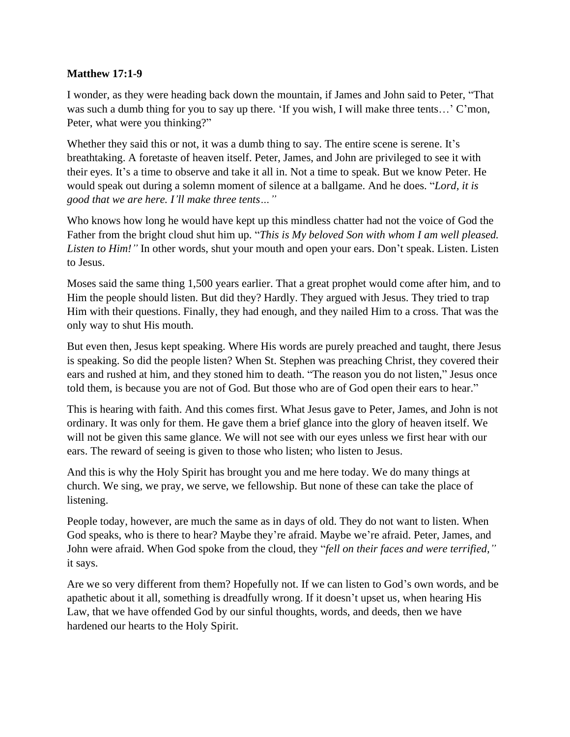## **Matthew 17:1-9**

I wonder, as they were heading back down the mountain, if James and John said to Peter, "That was such a dumb thing for you to say up there. 'If you wish, I will make three tents…' C'mon, Peter, what were you thinking?"

Whether they said this or not, it was a dumb thing to say. The entire scene is serene. It's breathtaking. A foretaste of heaven itself. Peter, James, and John are privileged to see it with their eyes. It's a time to observe and take it all in. Not a time to speak. But we know Peter. He would speak out during a solemn moment of silence at a ballgame. And he does. "*Lord, it is good that we are here. I'll make three tents…"*

Who knows how long he would have kept up this mindless chatter had not the voice of God the Father from the bright cloud shut him up. "*This is My beloved Son with whom I am well pleased. Listen to Him!"* In other words, shut your mouth and open your ears. Don't speak. Listen. Listen to Jesus.

Moses said the same thing 1,500 years earlier. That a great prophet would come after him, and to Him the people should listen. But did they? Hardly. They argued with Jesus. They tried to trap Him with their questions. Finally, they had enough, and they nailed Him to a cross. That was the only way to shut His mouth.

But even then, Jesus kept speaking. Where His words are purely preached and taught, there Jesus is speaking. So did the people listen? When St. Stephen was preaching Christ, they covered their ears and rushed at him, and they stoned him to death. "The reason you do not listen," Jesus once told them, is because you are not of God. But those who are of God open their ears to hear."

This is hearing with faith. And this comes first. What Jesus gave to Peter, James, and John is not ordinary. It was only for them. He gave them a brief glance into the glory of heaven itself. We will not be given this same glance. We will not see with our eyes unless we first hear with our ears. The reward of seeing is given to those who listen; who listen to Jesus.

And this is why the Holy Spirit has brought you and me here today. We do many things at church. We sing, we pray, we serve, we fellowship. But none of these can take the place of listening.

People today, however, are much the same as in days of old. They do not want to listen. When God speaks, who is there to hear? Maybe they're afraid. Maybe we're afraid. Peter, James, and John were afraid. When God spoke from the cloud, they "*fell on their faces and were terrified,"* it says.

Are we so very different from them? Hopefully not. If we can listen to God's own words, and be apathetic about it all, something is dreadfully wrong. If it doesn't upset us, when hearing His Law, that we have offended God by our sinful thoughts, words, and deeds, then we have hardened our hearts to the Holy Spirit.